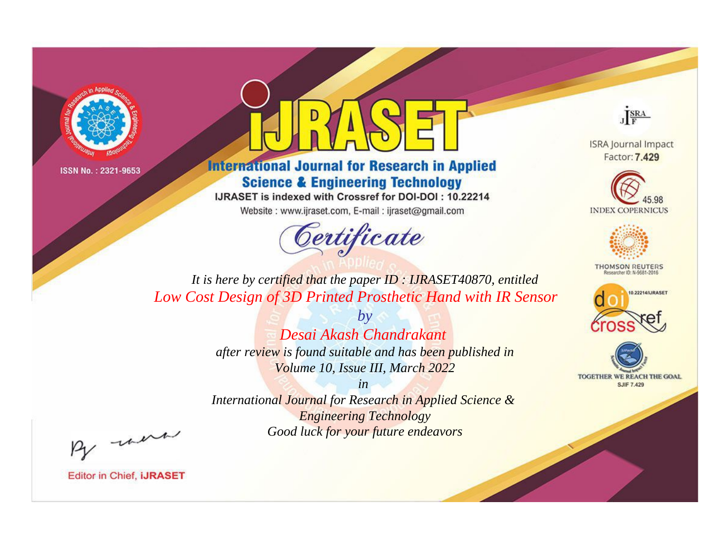



**International Journal for Research in Applied Science & Engineering Technology** 

IJRASET is indexed with Crossref for DOI-DOI: 10.22214

Website: www.ijraset.com, E-mail: ijraset@gmail.com



JERA

**ISRA Journal Impact** Factor: 7.429





**THOMSON REUTERS** 



TOGETHER WE REACH THE GOAL **SJIF 7.429** 

*It is here by certified that the paper ID : IJRASET40870, entitled Low Cost Design of 3D Printed Prosthetic Hand with IR Sensor*

> *by Desai Akash Chandrakant after review is found suitable and has been published in Volume 10, Issue III, March 2022*

> > *in*

*International Journal for Research in Applied Science & Engineering Technology Good luck for your future endeavors*

By morn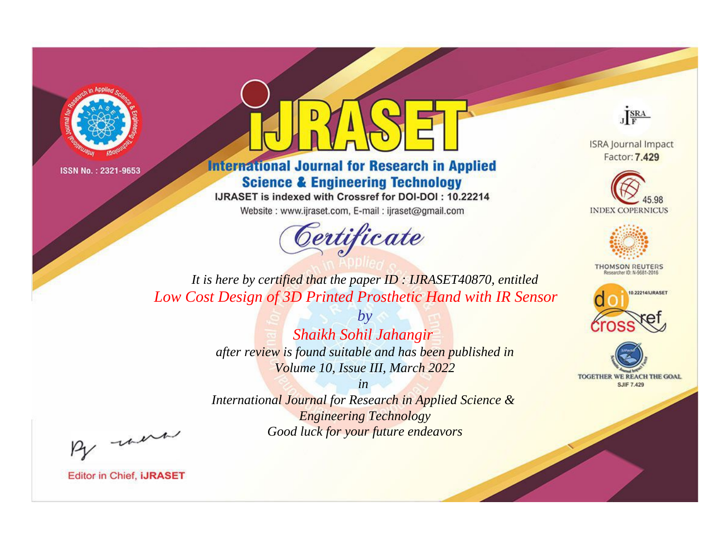



**International Journal for Research in Applied Science & Engineering Technology** 

IJRASET is indexed with Crossref for DOI-DOI: 10.22214

Website: www.ijraset.com, E-mail: ijraset@gmail.com



JERA

**ISRA Journal Impact** Factor: 7.429





**THOMSON REUTERS** 



TOGETHER WE REACH THE GOAL **SJIF 7.429** 

*It is here by certified that the paper ID : IJRASET40870, entitled Low Cost Design of 3D Printed Prosthetic Hand with IR Sensor*

> *by Shaikh Sohil Jahangir after review is found suitable and has been published in Volume 10, Issue III, March 2022*

> > *in*

*International Journal for Research in Applied Science & Engineering Technology Good luck for your future endeavors*

By morn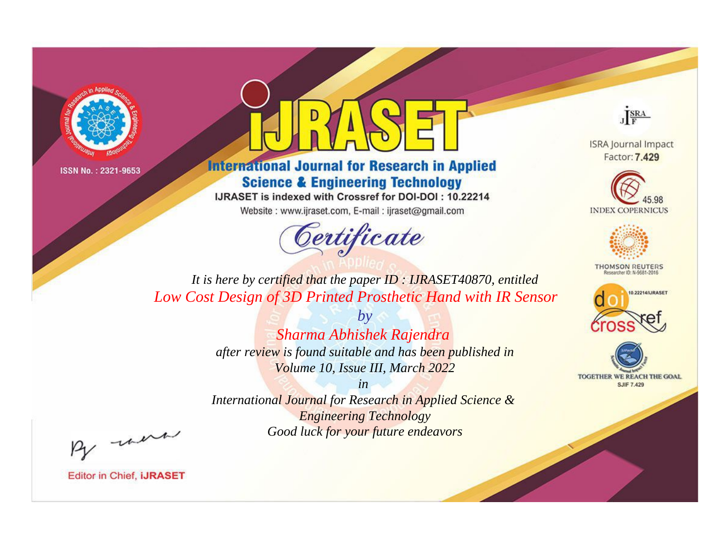



**International Journal for Research in Applied Science & Engineering Technology** 

IJRASET is indexed with Crossref for DOI-DOI: 10.22214

Website: www.ijraset.com, E-mail: ijraset@gmail.com



JERA

**ISRA Journal Impact** Factor: 7.429





**THOMSON REUTERS** 



TOGETHER WE REACH THE GOAL **SJIF 7.429** 

*It is here by certified that the paper ID : IJRASET40870, entitled Low Cost Design of 3D Printed Prosthetic Hand with IR Sensor*

> *by Sharma Abhishek Rajendra after review is found suitable and has been published in Volume 10, Issue III, March 2022*

> > *in*

*International Journal for Research in Applied Science & Engineering Technology Good luck for your future endeavors*

By morn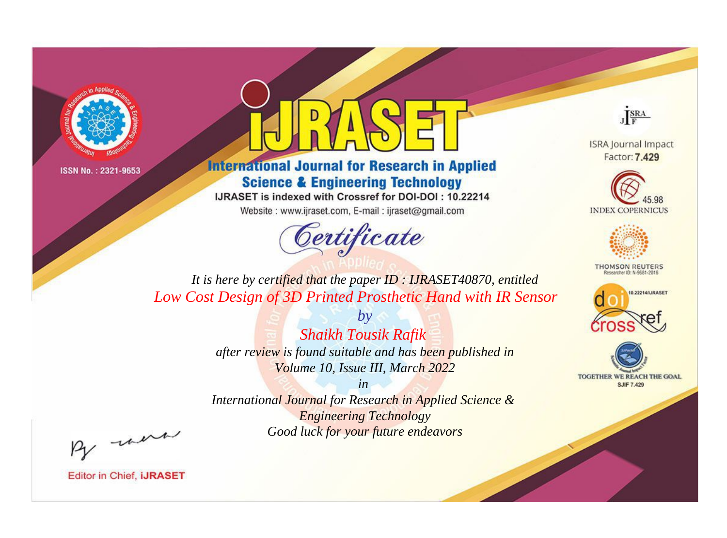



**International Journal for Research in Applied Science & Engineering Technology** 

IJRASET is indexed with Crossref for DOI-DOI: 10.22214

Website: www.ijraset.com, E-mail: ijraset@gmail.com



JERA

**ISRA Journal Impact** Factor: 7.429





**THOMSON REUTERS** 



TOGETHER WE REACH THE GOAL **SJIF 7.429** 

*It is here by certified that the paper ID : IJRASET40870, entitled Low Cost Design of 3D Printed Prosthetic Hand with IR Sensor*

> *by Shaikh Tousik Rafik after review is found suitable and has been published in Volume 10, Issue III, March 2022*

> > *in*

*International Journal for Research in Applied Science & Engineering Technology Good luck for your future endeavors*

By morn